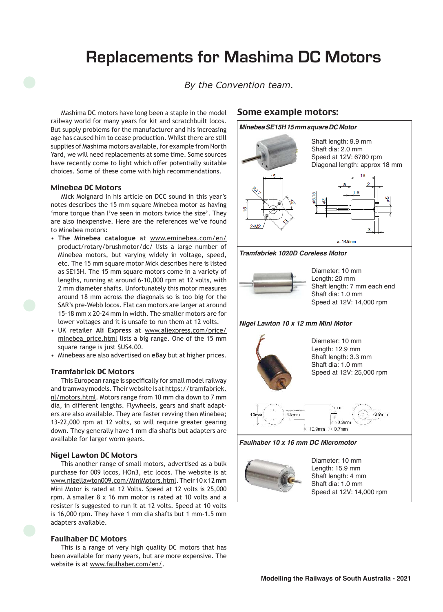# **Replacements for Mashima DC Motors**

*By the Convention team.*

Mashima DC motors have long been a staple in the model railway world for many years for kit and scratchbuilt locos. But supply problems for the manufacturer and his increasing age has caused him to cease production. Whilst there are still supplies of Mashima motors available, for example from North Yard, we will need replacements at some time. Some sources have recently come to light which offer potentially suitable choices. Some of these come with high recommendations.

## Minebea DC Motors

Mick Moignard in his article on DCC sound in this year's notes describes the 15 mm square Minebea motor as having 'more torque than I've seen in motors twice the size'. They are also inexpensive. Here are the references we've found to Minebea motors:

- • **The Minebea catalogue** at www.eminebea.com/en/ product/rotary/brushmotor/dc/ lists a large number of Minebea motors, but varying widely in voltage, speed, etc. The 15 mm square motor Mick describes here is listed as SE15H. The 15 mm square motors come in a variety of lengths, running at around 6-10,000 rpm at 12 volts, with 2 mm diameter shafts. Unfortunately this motor measures around 18 mm across the diagonals so is too big for the SAR's pre-Webb locos. Flat can motors are larger at around 15-18 mm x 20-24 mm in width. The smaller motors are for lower voltages and it is unsafe to run them at 12 volts.
- • UK retailer **Ali Express** at www.aliexpress.com/price/ minebea\_price.html lists a big range. One of the 15 mm square range is just \$US4.00.
- • Minebeas are also advertised on **eBay** but at higher prices.

### Tramfabriek DC Motors

This European range is specifically for small model railway and tramway models. Their website is at https://tramfabriek. nl/motors.html. Motors range from 10 mm dia down to 7 mm dia, in different lengths. Flywheels, gears and shaft adapters are also available. They are faster revving then Minebea; 13-22,000 rpm at 12 volts, so will require greater gearing down. They generally have 1 mm dia shafts but adapters are available for larger worm gears.

#### Nigel Lawton DC Motors

This another range of small motors, advertised as a bulk purchase for 009 locos, HOn3, etc locos. The website is at www.nigellawton009.com/MiniMotors.html. Their 10 x 12 mm Mini Motor is rated at 12 Volts. Speed at 12 volts is 25,000 rpm. A smaller 8 x 16 mm motor is rated at 10 volts and a resister is suggested to run it at 12 volts. Speed at 10 volts is 16,000 rpm. They have 1 mm dia shafts but 1 mm-1.5 mm adapters available.

## Faulhaber DC Motors

This is a range of very high quality DC motors that has been available for many years, but are more expensive. The website is at www.faulhaber.com/en/.

# Some example motors: